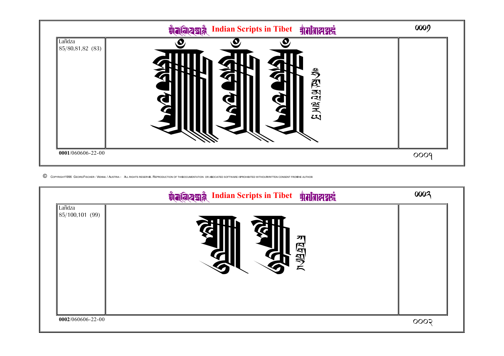

 $\copyright$  COPYRIGHT1996 GEORG FISCHER - VIENNA / AUSTRIA - ALL RIGHTS RESERVED. REPRODUCTION OF THIS DOCUMENTATION OR ASOCIATED SOFTWARE IS PROHIBITED WITHOUT WRITTEN CONSENT FROM HE AUTHOR.

|                           | Valaza Indian Scripts in Tibet गामी वालय में | 0002 |
|---------------------------|----------------------------------------------|------|
| Lañdza<br>85/100, 101(99) | 까<br><u>भक्ष्य</u><br>マ                      |      |
| 0002/060606-22-00         |                                              | 0005 |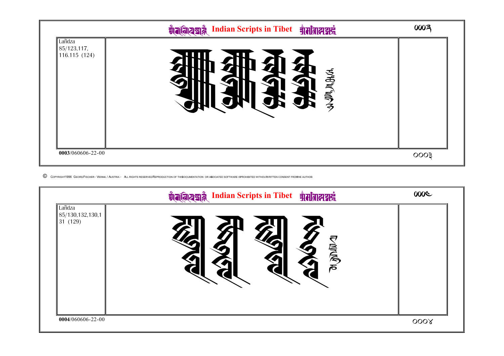

© COPYRIGHT1996 GEORGFISCHER- VIENNA / AUSTRIA - ALL RIGHTS RESERVED REPRODUCTION OF THISOCUMENTATION OR ASOCIATED SOFTWARE ISPROHIBITED WITHOUTWRITTEN CONSENT FROMHE AUTHOR

|                                       | ग्रामवियद्यन्नै Indian Scripts in Tibet ग्रामातात्मन्नने | 000C             |
|---------------------------------------|----------------------------------------------------------|------------------|
| Lañdza<br>85/130,132,130,1<br>31(129) | 层局<br>て                                                  |                  |
| 0004/060606-22-00                     |                                                          | 000 <sub>X</sub> |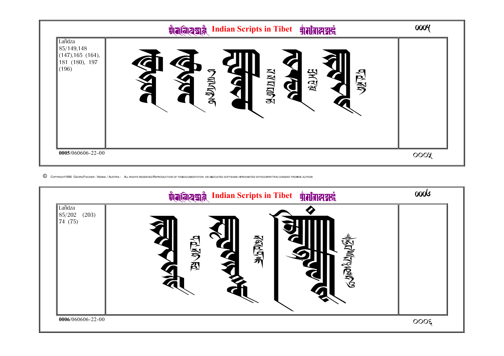

C COPYRIGHT1996 GEORGFISCHER- VIENNA / AUSTRIA - ALL RIGHTS RESERVED REPRODUCTION OF THISOCUMENTATION OR ASOCIATED SOFTWARE ISPROHIBITED WITHOUTWRITTEN CONSENT FROMHE AUTHOR